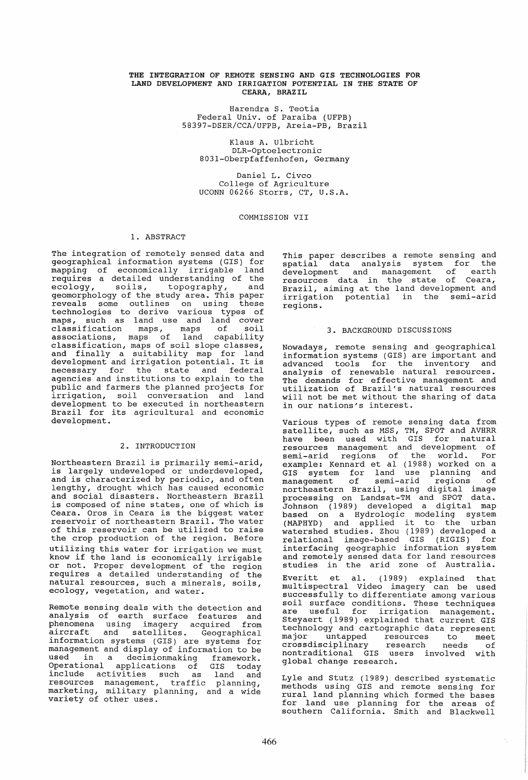### THE INTEGRATION OF REMOTE SENSING AND GIS TECHNOLOGIES FOR LAND DEVELOPMENT AND IRRIGATION POTENTIAL IN THE STATE OF CEARA, BRAZIL

Harendra S. Teotia Federal Univ. of Paraiba (UFPB) 58397-DSER/CCA/UFPB, Areia-PB, Brazil

Klaus A. Ulbricht DLR-Optoelectronic 8031-0berpfaffenhofen, Germany

Daniel L. Civco College of Agriculture UCONN 06266 Storrs, CT, U.S.A.

### COMMISSION VII

### 1. ABSTRACT

The integration of remotely sensed data and geographical information systems (GIS) for mapping of economically irrigable requires a detailed understanding of the ecology, soils, topography, and ecology, soils, topography, and<br>geomorphology of the study area. This paper reveals some outlines on using these technologies to derive various types of maps, such as land use and land cover<br>classification maps, maps of soil classification maps, maps of soil<br>associations, maps of land capability classification, maps of soil slope classes, and finally a suitability map for land and finally a suitability map for fand<br>development and irrigation potential. It is according and intriguorum potential. It is<br>necessary for the state and federal agencies and institutions to explain to the public and farmers the planned projects for irrigation, soil conversation and land development to be executed in northeastern Brazil for its agricultural and economic development.

# 2. INTRODUCTION

Northeastern Brazil is primarily semi-arid, is largely undeveloped or underdeveloped, and is characterized by periodic, and often lengthy, drought which has caused economic and social disasters. Northeastern Brazil is composed of nine states, one of which is Ceara. Oros in Ceara is the biggest water reservoir of northeastern Brazil. The water of this reservoir can be utilized to raise the crop production of the region. Before utilizing this water for irrigation we must know if the land is economically irrigable or not. Proper development of the region requires a detailed understanding of the adquares a desarred understanding of the ecology, vegetation, and water.

Remote sensing deals with the detection and analysis of earth surface features and phenomena using imagery acquired from aircraft and satellites. Geographical information systems (GIS) are systems for management and display of information to be used in a decisionmaking framework. Operational applications of GIS today include activities such as land and resources management, traffic planning, marketing, military planning, and a wide wherevering, while drive the proThis paper describes a remote sensing and spatial data analysis system for the<br>development and management of earth development and management of earth resources data in the state of Ceara, Brazil, aiming at the land development and irrigation potential in the semi-arid regions.

### 3. BACKGROUND DISCUSSIONS

Nowadays, remote sensing and geographical information systems (GIS) are important and advanced tools for the inventory and analysis of renewable natural resources. The demands for effective management and utilization of Brazil's natural resources will not be met without the sharing of data will not be met without the sharing of data<br>in our nations's interest.

various types of remote sensing data from satellite, such as MSS, TM, SPOT and AVHRR have been used with GIS for natural resources management and development of semi-arid regions of the world. For<br>example: Kennard et al (1988) worked on a<br>GIS system for land use planning and management of semi-arid regions of northeastern Brazil, using digital image processing on Landsat-TM and SPOT data. Johnson (1989) developed a digital map based on a Hydrologic modeling system (MAPHYD) and applied it to the urban watershed studies. Zhou (1989) developed a relational image-based GIS (RIGIS) for interfacing geographic information system and remotely sensed data for land resources studies in the arid zone of Australia.

Everitt et al. (1989) explained that multispectral Video imagery can be used successfully to differentiate among various soil surface conditions. These techniques<br>are useful for irrigation management. Steyaert (1989) explained that current GIS technology and cartographic data represent major untapped resources to meet may-2 anoapped research commerce nontraditional GIS users involved with global change research.

Lyle and Stutz (1989) described systematic methods using GIS and remote sensing for rural land planning which formed the bases for land use planning for the areas of southern California. Smith and Blackwell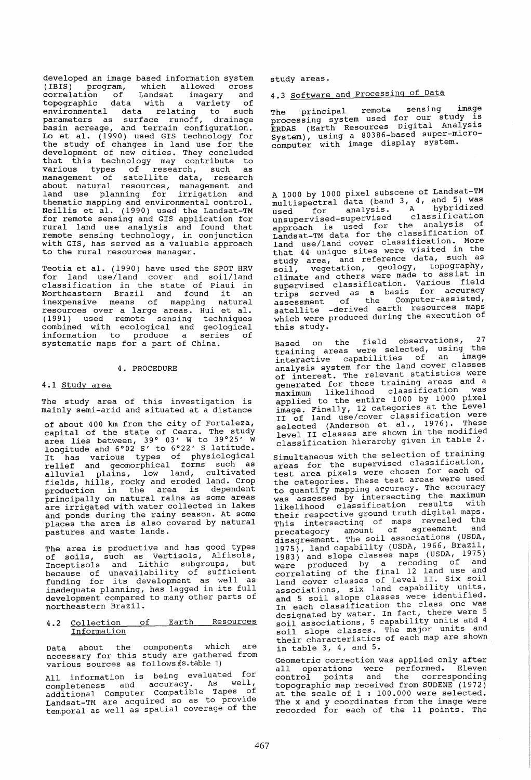developed an image based information system (IBIS) program, which allowed cross correlation of Landsat imagery and topographic data with a variety of environmental data relating to such parameters as surface runoff, drainage basin acreage, and terrain configuration. Easin acreage, and certain configuration.<br>Lo et al. (1990) used GIS technology for the study of changes in land use for the development of new cities. They concluded that this technology may contribute to various types of research, such as management of satellite data, research about natural resources, management and land use planning for irrigation and thematic mapping and environmental control. enchatre mapping and environmental concroit.<br>Neillis et al. (1990) used the Landsat-TM for remote sensing and GIS application for rural land use analysis and found that remote sensing technology, in conjunction with GIS, has served as a valuable approach to the rural resources manager.

Teotia et al. (1990) have used the SPOT HRV for land use/land cover and soil/land classification in the state of Piaui in Northeastern Brazil and found it an inexpensive means of mapping natural resources over a large areas. Hui et ale (1991) used remote sensing techniques combined with ecological and geological information to produce a series of systematic maps for a part of China.

### 4. PROCEDURE

### 4.1 Study area

The study area of this investigation is mainly semi-arid and situated at a distance

of about 400 km from the city of Fortaleza, capital of the state of Ceara. The study area lies between, 39° 03' W to 39°25' W longitude and 6°02 S' to 6°22' S latitude. It has various types of physiological relief and geomorphical forms such as alluvial plains, low land, cultivated fields, hills, rocky and eroded land. Crop production in the area is dependent principally on natural rains as some areas are irrigated with water collected in lakes and ponds during the rainy season. At some places the area is also covered by natural pastures and waste lands.

The area is productive and has good types The area is productive and has good specified Inceptisols and Lithic subgroups, but because of unavailability of sufficient funding for its development as well as inadequate planning, has lagged in its full development compared to many other parts of northeastern Brazil.

#### 4.2 Collection Information of Earth Resources

Data about the components which are necessary for this study are gathered from various sources as follows (s. table 1)

All information is being evaluated for completeness and accuracy. As well, additional Computer Compatlble Tapes .of Landsat-TM are acquired so as to provlde temporal as well as spatial coverage of the

study areas.

# 4.3 Software and Processing of Data

The principal remote sensing image processing system used for our study is processing Syboom assert Digital Analysis System), using a 80386~based super-mlcrocomputer with image display system.

A 1000 by 1000 pixel subscene of Landsat-TM multispectral data (band 3, 4, and 5) was<br>used for analysis. A hybridized<br>unsupervised-supervised classification used-supervised classification<br>approach is used for the analysis of approach is used for the classification of Land use/land cover classification. More that 44 unique sites were visited in the study area, and reference data, such as soil, vegetation, geology, topog7aphr, soil, vegecution, governing to assist in cilmate and concrete classification. Various field supervised classification. The accuracy assessment of the Computer-assisted, satellite -derived earth resources maps which were produced during the execution of this study.

Based on the field observations, 27 training areas were selected, using the interactive capabilities of an image analysis system for the land cover classes of interest. The relevant statistics were generated for these training areas and a<br>generated for these training areas and a<br>maximum likelihood classification was applied to the entire 1000 by 1000 pixel appiled to the choice<br>image. Finally, 12 categories at the Level<br>II of land use/cover classification were If of fand dse, sover sealer. 1976). These<br>selected (Anderson et al., 1976). These<br>level II classes are shown in the modified classification hierarchy given in table 2.

Simultaneous with the selection of training areas for the supervised classification, test area pixels were chosen for each of the categories. These test areas were used the categories: increased to the accuracy to quantify mapping accessing the maximum was assessed by Incorpocting<br>likelihood classification results with their respective ground truth digital maps. This intersective ground the revealed the precategory amount of agreement and precategory discussed in a second tions (USDA, 1975), land capability (USDA, 1966, Brazil, 1983) and slope classes maps (USDA, 1975) were produced by a recoding of and wele producted by the 112 land use and land cover classes of Level II. Six soil Land cover crasses or Errican units, associations, six fand capassis-,<br>and 5 soil slope classes were identified. In each classification the class one was In each class rater. In fact, there were 5<br>goil associations, 5 capability units and 4 soil slope classes. The major units and their characteristics of each map are shown in table 3, 4, and 5.

Geometric correction was applied only after Geometric correction was appried only arter<br>all operations were performed. Eleven control points and the corresponding topographic map received from SUDENE (1972) at the scale of 1 : 100.000 were selected. The x and y coordinates from the image were recorded for each of the 11 points. The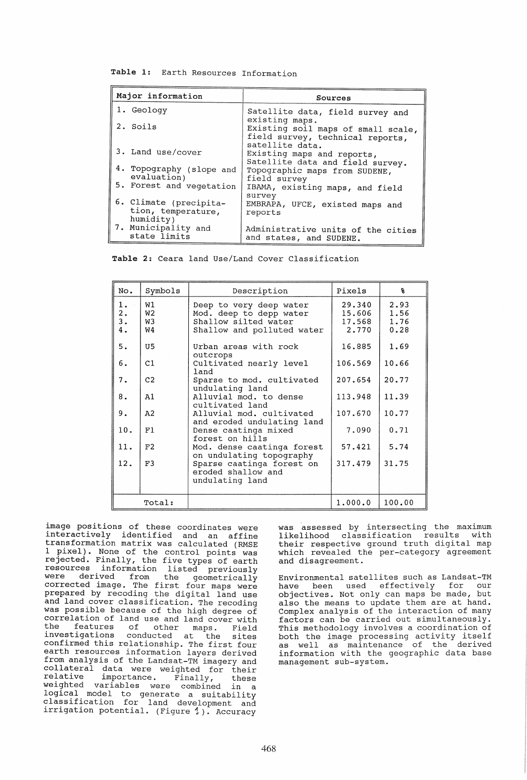Table 1: Earth Resources Information

| Major information                                         | Sources                                                                                  |
|-----------------------------------------------------------|------------------------------------------------------------------------------------------|
| 1. Geology                                                | Satellite data, field survey and                                                         |
| 2. Soils                                                  | existing maps.<br>Existing soil maps of small scale,<br>field survey, technical reports, |
| 3. Land use/cover                                         | satellite data.<br>Existing maps and reports,<br>Satellite data and field survey.        |
| 4. Topography (slope and<br>evaluation)                   | Topographic maps from SUDENE,<br>field survey                                            |
| 5. Forest and vegetation                                  | IBAMA, existing maps, and field<br>survey                                                |
| 6. Climate (precipita-<br>tion, temperature,<br>humidity) | EMBRAPA, UFCE, existed maps and<br>reports                                               |
| 7. Municipality and<br>state limits                       | Administrative units of the cities<br>and states, and SUDENE.                            |

Table 2: Ceara land Use/Land Cover Classification

| No.                                         | Symbols              | Description                                                                                              | Pixels                              | X                            |
|---------------------------------------------|----------------------|----------------------------------------------------------------------------------------------------------|-------------------------------------|------------------------------|
| 1.<br>$\frac{2}{3}$ .<br>$\boldsymbol{4}$ . | W1<br>W2<br>W3<br>W4 | Deep to very deep water<br>Mod. deep to depp water<br>Shallow silted water<br>Shallow and polluted water | 29.340<br>15,606<br>17.568<br>2.770 | 2.93<br>1.56<br>1.76<br>0.28 |
| 5.                                          | U5                   | Urban areas with rock<br>outcrops                                                                        | 16.885                              | 1.69                         |
| б.                                          | C1                   | Cultivated nearly level<br>land                                                                          | 106.569                             | 10.66                        |
| 7.                                          | C <sub>2</sub>       | Sparse to mod. cultivated<br>undulating land                                                             | 207.654                             | 20.77                        |
| 8.                                          | A1                   | Alluvial mod. to dense<br>cultivated land                                                                | 113.948                             | 11.39                        |
| 9.                                          | A <sub>2</sub>       | Alluvial mod. cultivated<br>and eroded undulating land                                                   | 107.670                             | 10.77                        |
| 10.                                         | F1                   | Dense caatinga mixed<br>forest on hills                                                                  | 7.090                               | 0.71                         |
| 11.                                         | F2                   | Mod. dense caatinga forest<br>on undulating topography                                                   | 57.421                              | 5.74                         |
| 12.                                         | F3                   | Sparse caatinga forest on<br>eroded shallow and<br>undulating land                                       | 317.479                             | 31.75                        |
| Total:                                      |                      |                                                                                                          | 1.000.0                             | 100,00                       |

image positions of these coordinates were interactively identified and an affine transformation matrix was calculated (RMSE 1 pixel). None of the control points was rejected. Finally, the five types of earth **resources** information listed previously were derived from the geometrically were derived from the geometrically<br>corrected image. The first four maps were prepared by recoding the digital land use and land cover classification. The recoding was possible because of the high degree of correlation of land use and land cover with<br>the features of other maps. Field the features of other maps. Field<br>investigations conducted at the sites conducted at the sites confirmed this relationship. The first four earth resources information layers derived from analysis of the Landsat-TM imagery and collateral data were weighted for their relative importance. Finally, these relative importance. Finally, these<br>weighted variables were combined in a logical model to generate a suitability classification for land development and irrigation potential. (Figure 1). Accuracy

was assessed by intersecting the maximum<br>likelihood classification results with likelihood classification results their respective ground truth digital map which revealed the per-category agreement and disagreement.

Environmental satellites such as Landsat-TM have been used effectively for our objectives. Not only can maps be made, but also the means to update them are at hand. Complex analysis of the interaction of many factors can be carried out simultaneously. This methodology involves a coordination of Ints methodology involves a coordination of as well as maintenance of the derived information with the geographic data base management sub-system.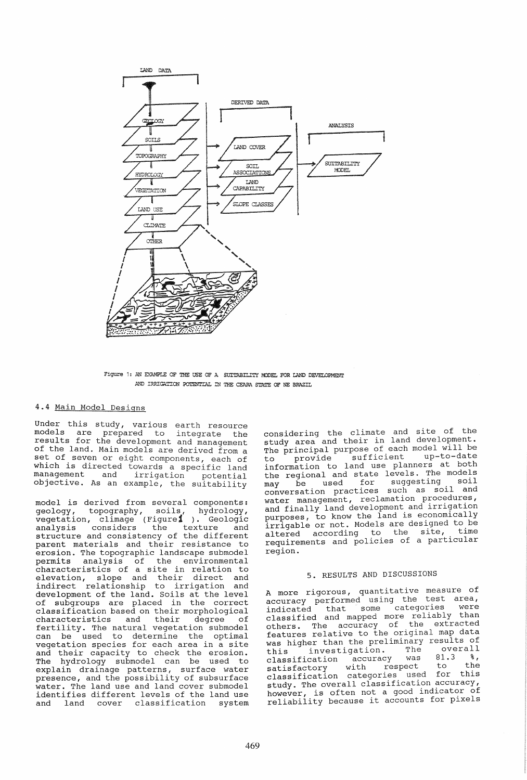

Figure 1: AN EXAMPLE OF THE USE OF A SUITABILITY MODEL FOR LAND DEVELOPMENT AND IRRIGATION POTENTIAL IN THE CEARA STATE OF NE BRAZIL

### 4.4 Main Model Designs

Under this study, various earth resource models are prepared to integrate the results for the development and management of the land. Main models are derived from a set of seven or eight components, each of which is directed towards a specific land management and irrigation potential management and irrigation potential<br>objective. As an example, the suitability

model is derived from several components: geology, topography, soils, hydrology, vegetation, climage (Figure1 ). Geologic analysis considers the texture and structure and consistency of the different structure and consistency of the different<br>parent materials and their resistance to erosion. The topographic landscape submodel permits analysis of the environmental characteristics of a site in relation to elevation, slope and their direct and indirect relationship to irrigation and indirect relationship to irrigation and<br>development of the land. Soils at the level of subgroups are placed in the correct classification based on their morphological characteristics and fertility. The natural vegetation submodel<br>can be used to determine the optimal vegetation species for each area in a site and their capacity to check the erosion. The hydrology submodel can be used to explain drainage patterns, surface water presence, and the possibility of subsurface water. The land use and land cover submodel identifies different levels of the land use and land cover classification system

considering the climate and site of the considering the crimate and is a considering The principal purpose of each model will be to provide sufficient up-to-date to provide sufficient up-to-date<br>information to land use planners at both the regional and state levels. The models the regional and beaco recorder. may be used for suggesting soil<br>conversation practices such as soil and water management, reclamation procedures, and finally land development and irrigation purposes, to know the land is economically irrigable or not. Models are designed to be<br>altered according to the site, time altered according to the requirements and policies of a particular region.

# 5. RESULTS AND DISCUSSIONS

A more rigorous, quantitative measure of accuracy performed using the test area, indicated that some categories were classified and mapped more reliably than classified and mapped more reliably than<br>others. The accuracy of the extracted features relative to the original map data<br>was higher than the preliminary results of<br>this investigation. The overall was higher than the preliminary results of<br>this investigation. The overall<br>classification accuracy was 81.3 %, classification accuracy was 81.3 %, classification docaller<br>satisfactory with respect to the classification categories used for this study. The overall classification accuracy, however, is often not a good indicator of reliability because it accounts for pixels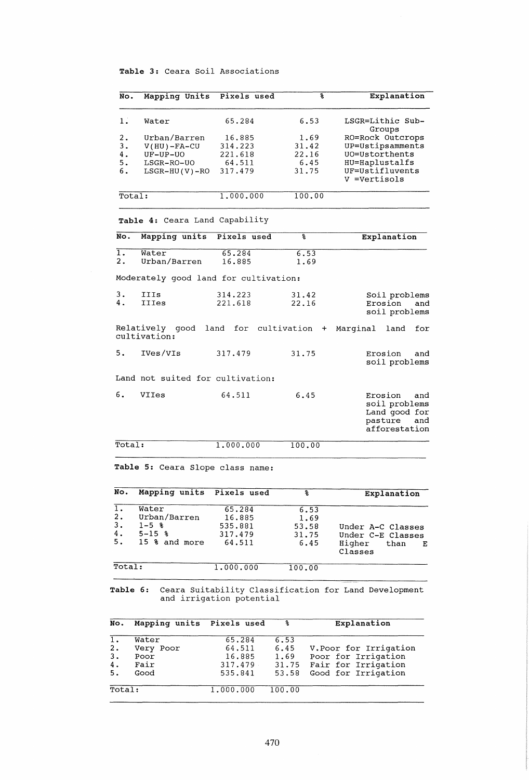### Table 3: Ceara Soil Associations

| No.             | Mapping Units                         | Pixels used              | g            | Explanation                                                                         |  |
|-----------------|---------------------------------------|--------------------------|--------------|-------------------------------------------------------------------------------------|--|
| 1.              | Water                                 | 65.284                   | 6.53         | LSGR=Lithic Sub-<br>Groups                                                          |  |
| 2.              | Urban/Barren                          | 16.885                   | 1.69         | RO=Rock Outcrops                                                                    |  |
| з.              | $V(HU) - FA-CU$                       | 314.223                  | 31.42        | UP=Ustipsamments                                                                    |  |
| 4.              | UF-UP-UO                              | 221.618                  | 22.16        | UO=Ustorthents                                                                      |  |
| 5.              | LSGR-RO-UO                            | 64.511                   | 6.45         | HU=Haplustalfs                                                                      |  |
| 6.              | $LSGR-HU(V)-RO$                       | 317.479                  | 31.75        | UF=Ustifluvents                                                                     |  |
|                 |                                       |                          |              | V =Vertisols                                                                        |  |
| Total:          |                                       | 1.000.000                | 100.00       |                                                                                     |  |
|                 | Table 4: Ceara Land Capability        |                          |              |                                                                                     |  |
| No.             | Mapping units                         | Pixels used              | š            | Explanation                                                                         |  |
| 1.<br>2.        | Water<br>Urban/Barren                 | 65.284<br>16.885         | 6.53<br>1.69 |                                                                                     |  |
|                 | Moderately good land for cultivation: |                          |              |                                                                                     |  |
| з.              | <b>IIIs</b>                           | 314.223                  | 31.42        | Soil problems                                                                       |  |
| 4.              | <b>IIIes</b>                          | 221.618                  | 22.16        | Erosion<br>and                                                                      |  |
|                 |                                       |                          |              | soil problems                                                                       |  |
|                 | Relatively good<br>cultivation:       | land for cultivation     | $+$          | Marginal<br>land<br>for                                                             |  |
| 5.              | IVes/VIs                              | 317.479                  | 31.75        | Erosion<br>and<br>soil problems                                                     |  |
|                 | Land not suited for cultivation:      |                          |              |                                                                                     |  |
| б.              | VIIes                                 | 64.511                   | 6.45         | Erosion<br>and<br>soil problems<br>Land good for<br>pasture<br>and<br>afforestation |  |
| Total:          |                                       | 1.000.000                | 100.00       |                                                                                     |  |
|                 | Table 5: Ceara Slope class name:      |                          |              |                                                                                     |  |
| No.             | Mapping units                         | Pixels used              | g            | Explanation                                                                         |  |
| ı.              | Water                                 | 65.284                   | 6.53         |                                                                                     |  |
| 2.              | Urban/Barren                          | 16.885                   | 1.69         |                                                                                     |  |
| з.              | $1 - 5$ 8                             | 535.881                  | 53.58        | Under A-C Classes                                                                   |  |
| 4.              | $5 - 15$ $8$                          | 317.479                  | 31.75        | Under C-E Classes                                                                   |  |
| 5.              | 15 % and more                         | 64.511                   | 6.45         | Higher<br>than<br>Е                                                                 |  |
|                 |                                       |                          |              | Classes                                                                             |  |
| Total:          |                                       | 1.000.000                | 100.00       |                                                                                     |  |
| <b>Table 6:</b> |                                       | and irrigation potential |              | Ceara Suitability Classification for Land Development                               |  |
| No.             | Mapping units                         | Pixels used              | န္           | Explanation                                                                         |  |
| 1.              | Water                                 | 65.284                   | 6.53         |                                                                                     |  |
| 2.              | Very Poor                             | 64.511                   | 6.45         | V. Poor for Irrigation                                                              |  |

3. Poor 16.885 1. 69 Poor for Irrigation 4. Fair 317.479 31.75 Fair for Irrigation 5. Good 535.841 53.58 Good for Irrigation Total: 1.000.000 100.00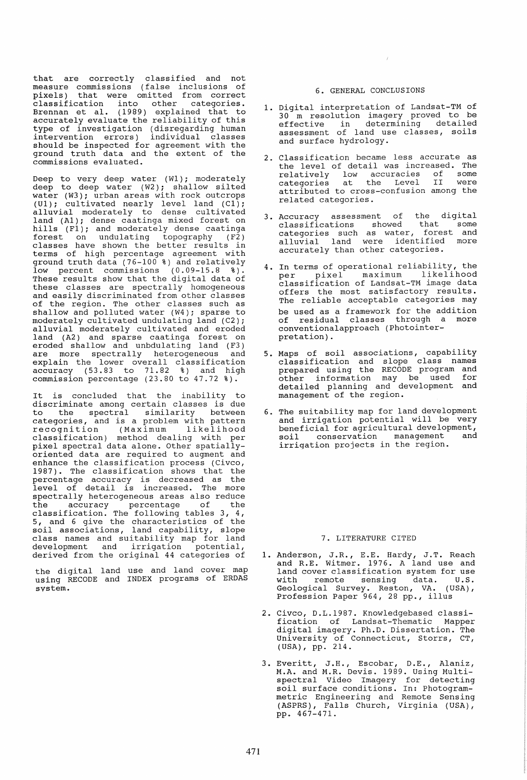that are correctly classified and not measure commissions (false inclusions of pixels) that were omitted from correct classification into other categories. Brennan et al. (1989) explained that to accurately evaluate the reliability of this type of investigation (disregarding human intervention errors) individual classes should be inspected for agreement with the ground truth data and the extent of the commissions evaluated.

Deep to very deep water (W1); moderately deep to deep water (W2); shallow silted water (W3); urban areas with rock outcrops  $(U1)$ ; cultivated nearly level land  $(Cl)$ ; alluvial moderately to dense cultivated land (AI); dense caatinga mixed forest on hills (Fl); and moderately dense caatinga forest on undulating topography (F2 ) classes have shown the better results in terms of high percentage agreement with ground truth data (76-100 %) and relatively low percent commissions (0.09-15.8 %). These results show that the digital data of these classes are spectrally homogeneous and easily discriminated from other classes of the region. The other classes such as shallow and polluted water (W4); sparse to moderately cultivated undulating land (C2); alluvial moderately cultivated and eroded land (A2) and sparse caatinga forest on eroded shallow and unbdulating land (F3) eroded shallow and unbdulating land (F3)<br>are more spectrally heterogeneous and are more spectrarry moderogeneeds and accuracy (53.83 to 71.82 %) and high commission percentage (23.80 to 47.72 %).

It is concluded that the inability to discriminate among certain classes is due to the spectral similarity between categories, and is a problem with pattern recognition (Maximum likelihood classification) method dealing with per pixel spectral data alone. Other spatiallyoriented data are required to augment and enhance the classification process (Civco, 1987). The classification shows that the percentage accuracy is decreased as the level of detail is increased. The more spectrally heterogeneous areas also reduce the accuracy percentage of the classification. The following tables 3, 4, 5, and 6 give the characteristics of the s, and  $\sigma$  give the endrabedribered or the class names and suitability map for land development and irrigation potential, derived from the original 44 categories of

the digital land use and land cover map using RECODE and INDEX programs of ERDAS system.

### 6. GENERAL CONCLUSIONS

 $\sim t$ 

- 1. Digital interpretation of Landsat-TM of 30 m resolution imagery proved to be effective in determining detailed assessment of land use classes, soils and surface hydrology.
- 2. Classification became less accurate as the level of detail was increased. The relatively low accuracies of some categories at the Level II were categories at the Level II were<br>attributed to cross-confusion among the related categories.
- 3. Accuracy assessment of the digital classifications showed that some categories such as water, forest and alluvial land were identified more accurately than other categories.
- 4. In terms of operational reliability, the per pixel maximum likelihood classification of Landsat-TM image data offers the most satisfactory results. The reliable acceptable categories may be used as a framework for the addition of residual classes through a more conventionalapproach (Photointerpretation) .
- 5. Maps of soil associations, capability classification and slope class names prepared us ing the RECODE program and other information may be used for detailed planning and development and management of the region.
- 6. The suitability map for land development and irrigation potential will be very beneficial for agricultural development,<br>soil conservation management and soil conservation management irrigation projects in the region.

### 7. LITERATURE CITED

- 1. Anderson, J.R., E.E. Hardy, J.T. Reach and R.E. Witmer. 1976. A land use and<br>land cover classification system for use with remote sensing data. U.S. Geological Survey. Reston, VA. (USA) , Profession Paper 964, 28 pp., illus
- 2. Civco, D.L.1987. Knowledgebased classification of Landsat-Thematic Mapper digital imagery. Ph.D. Dissertation. The University of Connecticut, Storrs, CT, (USA), pp. 214.
- 3. Everitt, J.H., Escobar, D.E., Alaniz, M.A. and M.R. Devis. 1989. Using Multispectral Video Imagery for detecting spectral viaco imager, for accecting<br>soil surface conditions. In: Photogrammetric Engineering and Remote Sensing (ASPRS), Falls Church, Virginia (USA), pp. 467 -4 71.